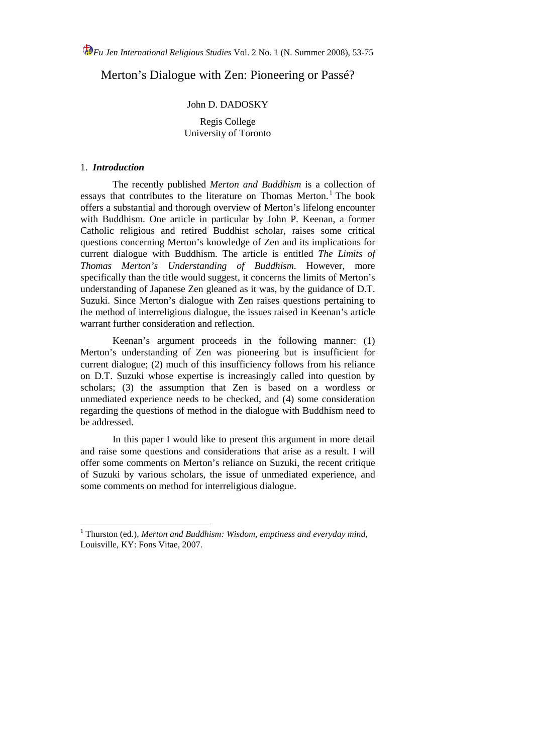Merton's Dialogue with Zen: Pioneering or Passé?

## John D. DADOSKY

### Regis College University of Toronto

# 1. *Introduction*

The recently published *Merton and Buddhism* is a collection of essays that contributes to the literature on Thomas Merton. [1](#page-0-0) The book offers a substantial and thorough overview of Merton's lifelong encounter with Buddhism. One article in particular by John P. Keenan, a former Catholic religious and retired Buddhist scholar, raises some critical questions concerning Merton's knowledge of Zen and its implications for current dialogue with Buddhism. The article is entitled *The Limits of Thomas Merton's Understanding of Buddhism*. However, more specifically than the title would suggest, it concerns the limits of Merton's understanding of Japanese Zen gleaned as it was, by the guidance of D.T. Suzuki. Since Merton's dialogue with Zen raises questions pertaining to the method of interreligious dialogue, the issues raised in Keenan's article warrant further consideration and reflection.

Keenan's argument proceeds in the following manner: (1) Merton's understanding of Zen was pioneering but is insufficient for current dialogue; (2) much of this insufficiency follows from his reliance on D.T. Suzuki whose expertise is increasingly called into question by scholars; (3) the assumption that Zen is based on a wordless or unmediated experience needs to be checked, and (4) some consideration regarding the questions of method in the dialogue with Buddhism need to be addressed.

In this paper I would like to present this argument in more detail and raise some questions and considerations that arise as a result. I will offer some comments on Merton's reliance on Suzuki, the recent critique of Suzuki by various scholars, the issue of unmediated experience, and some comments on method for interreligious dialogue.

<span id="page-0-0"></span><sup>&</sup>lt;sup>1</sup> Thurston (ed.), Merton and Buddhism: Wisdom, emptiness and everyday mind, Louisville, KY: Fons Vitae, 2007.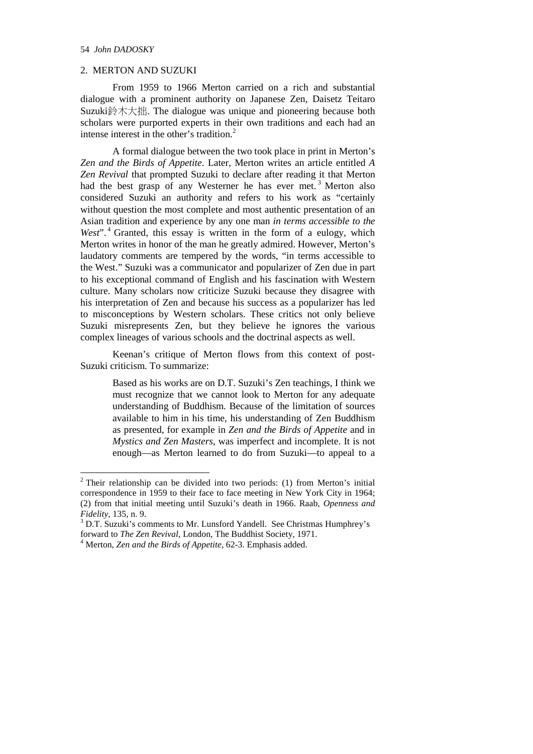#### 54 *John DADOSKY*

### 2. MERTON AND SUZUKI

From 1959 to 1966 Merton carried on a rich and substantial dialogue with a prominent authority on Japanese Zen, Daisetz Teitaro Suzuki鈴木大拙. The dialogue was unique and pioneering because both scholars were purported experts in their own traditions and each had an intense interest in the other's tradition.<sup>[2](#page-1-0)</sup>

A formal dialogue between the two took place in print in Merton's *Zen and the Birds of Appetite*. Later, Merton writes an article entitled *A Zen Revival* that prompted Suzuki to declare after reading it that Merton had the best grasp of any Westerner he has ever met.<sup>[3](#page-1-1)</sup> Merton also considered Suzuki an authority and refers to his work as "certainly without question the most complete and most authentic presentation of an Asian tradition and experience by any one man *in terms accessible to the*  West".<sup>[4](#page-1-2)</sup> Granted, this essay is written in the form of a eulogy, which Merton writes in honor of the man he greatly admired. However, Merton's laudatory comments are tempered by the words, "in terms accessible to the West." Suzuki was a communicator and popularizer of Zen due in part to his exceptional command of English and his fascination with Western culture. Many scholars now criticize Suzuki because they disagree with his interpretation of Zen and because his success as a popularizer has led to misconceptions by Western scholars. These critics not only believe Suzuki misrepresents Zen, but they believe he ignores the various complex lineages of various schools and the doctrinal aspects as well.

Keenan's critique of Merton flows from this context of post-Suzuki criticism. To summarize:

> Based as his works are on D.T. Suzuki's Zen teachings, I think we must recognize that we cannot look to Merton for any adequate understanding of Buddhism. Because of the limitation of sources available to him in his time, his understanding of Zen Buddhism as presented, for example in *Zen and the Birds of Appetite* and in *Mystics and Zen Masters*, was imperfect and incomplete. It is not enough—as Merton learned to do from Suzuki—to appeal to a

<span id="page-1-0"></span> $2$  Their relationship can be divided into two periods: (1) from Merton's initial correspondence in 1959 to their face to face meeting in New York City in 1964; (2) from that initial meeting until Suzuki's death in 1966. Raab, *Openness and* 

<span id="page-1-1"></span>*Fidelity*, 135, n. 9.<br><sup>3</sup> D.T. Suzuki's comments to Mr. Lunsford Yandell. See Christmas Humphrey's forward to *The Zen Revival*, London, The Buddhist Society, 1971.

<span id="page-1-2"></span><sup>&</sup>lt;sup>4</sup> Merton, Zen and the Birds of Appetite, 62-3. Emphasis added.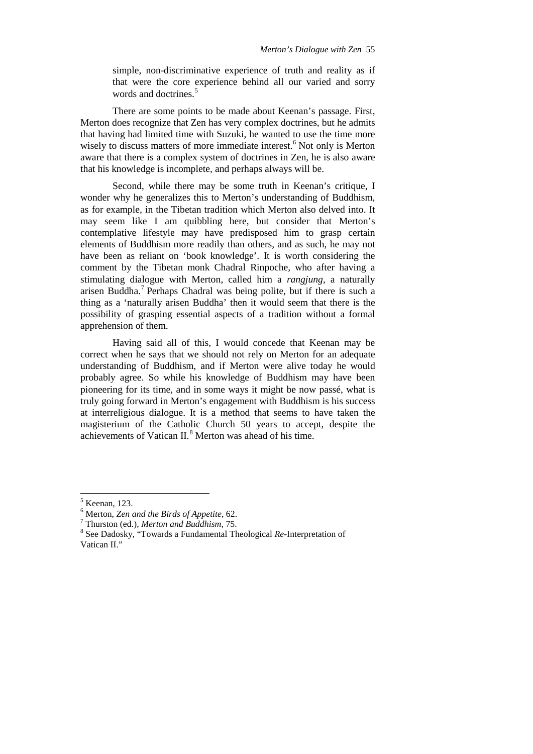simple, non-discriminative experience of truth and reality as if that were the core experience behind all our varied and sorry words and doctrines.<sup>[5](#page-2-0)</sup>

There are some points to be made about Keenan's passage. First, Merton does recognize that Zen has very complex doctrines, but he admits that having had limited time with Suzuki, he wanted to use the time more wisely to discuss matters of more immediate interest. [6](#page-2-1) Not only is Merton aware that there is a complex system of doctrines in Zen, he is also aware that his knowledge is incomplete, and perhaps always will be.

Second, while there may be some truth in Keenan's critique, I wonder why he generalizes this to Merton's understanding of Buddhism, as for example, in the Tibetan tradition which Merton also delved into. It may seem like I am quibbling here, but consider that Merton's contemplative lifestyle may have predisposed him to grasp certain elements of Buddhism more readily than others, and as such, he may not have been as reliant on 'book knowledge'. It is worth considering the comment by the Tibetan monk Chadral Rinpoche, who after having a stimulating dialogue with Merton, called him a *rangjung*, a naturally arisen Buddha. [7](#page-2-2) Perhaps Chadral was being polite, but if there is such a thing as a 'naturally arisen Buddha' then it would seem that there is the possibility of grasping essential aspects of a tradition without a formal apprehension of them.

Having said all of this, I would concede that Keenan may be correct when he says that we should not rely on Merton for an adequate understanding of Buddhism, and if Merton were alive today he would probably agree. So while his knowledge of Buddhism may have been pioneering for its time, and in some ways it might be now passé, what is truly going forward in Merton's engagement with Buddhism is his success at interreligious dialogue. It is a method that seems to have taken the magisterium of the Catholic Church 50 years to accept, despite the achievements of Vatican II.<sup>[8](#page-2-3)</sup> Merton was ahead of his time.

<span id="page-2-0"></span> $\frac{5}{6}$  Keenan, 123.<br> $\frac{6}{6}$  Merton, Zen and the Birds of Appetite, 62.

<span id="page-2-3"></span><span id="page-2-2"></span><span id="page-2-1"></span><sup>&</sup>lt;sup>7</sup> Thurston (ed.), *Merton and Buddhism*, 75.<br><sup>8</sup> See Dadosky, "Towards a Fundamental Theological *Re*-Interpretation of Vatican II."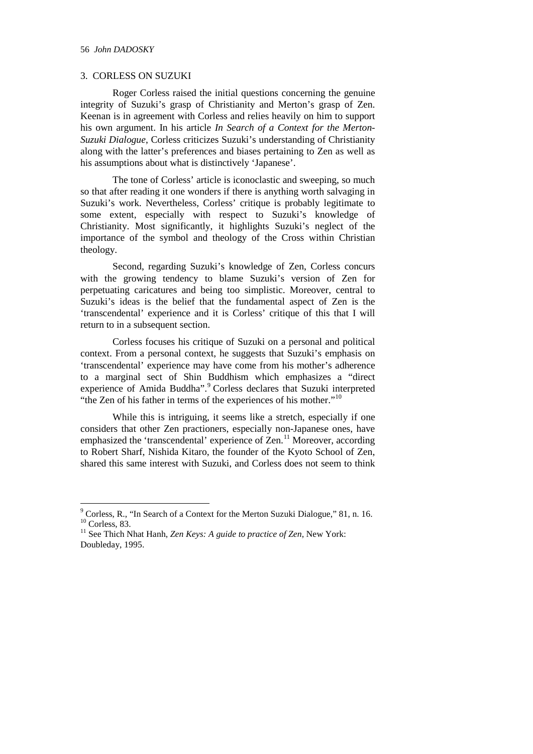## 3. CORLESS ON SUZUKI

Roger Corless raised the initial questions concerning the genuine integrity of Suzuki's grasp of Christianity and Merton's grasp of Zen. Keenan is in agreement with Corless and relies heavily on him to support his own argument. In his article *In Search of a Context for the Merton-Suzuki Dialogue*, Corless criticizes Suzuki's understanding of Christianity along with the latter's preferences and biases pertaining to Zen as well as his assumptions about what is distinctively 'Japanese'.

The tone of Corless' article is iconoclastic and sweeping, so much so that after reading it one wonders if there is anything worth salvaging in Suzuki's work. Nevertheless, Corless' critique is probably legitimate to some extent, especially with respect to Suzuki's knowledge of Christianity. Most significantly, it highlights Suzuki's neglect of the importance of the symbol and theology of the Cross within Christian theology.

Second, regarding Suzuki's knowledge of Zen, Corless concurs with the growing tendency to blame Suzuki's version of Zen for perpetuating caricatures and being too simplistic. Moreover, central to Suzuki's ideas is the belief that the fundamental aspect of Zen is the 'transcendental' experience and it is Corless' critique of this that I will return to in a subsequent section.

Corless focuses his critique of Suzuki on a personal and political context. From a personal context, he suggests that Suzuki's emphasis on 'transcendental' experience may have come from his mother's adherence to a marginal sect of Shin Buddhism which emphasizes a "direct experience of Amida Buddha". Corless declares that Suzuki interpreted "the Zen of his father in terms of the experiences of his mother." $10$ 

While this is intriguing, it seems like a stretch, especially if one considers that other Zen practioners, especially non-Japanese ones, have emphasized the 'transcendental' experience of Zen.<sup>[11](#page-3-2)</sup> Moreover, according to Robert Sharf, Nishida Kitaro, the founder of the Kyoto School of Zen, shared this same interest with Suzuki, and Corless does not seem to think

<span id="page-3-0"></span> $9^9$  Corless, R., "In Search of a Context for the Merton Suzuki Dialogue," 81, n. 16.  $10^9$  Corless. 83.

<span id="page-3-2"></span><span id="page-3-1"></span><sup>&</sup>lt;sup>11</sup> See Thich Nhat Hanh, *Zen Keys: A guide to practice of Zen*, New York: Doubleday, 1995.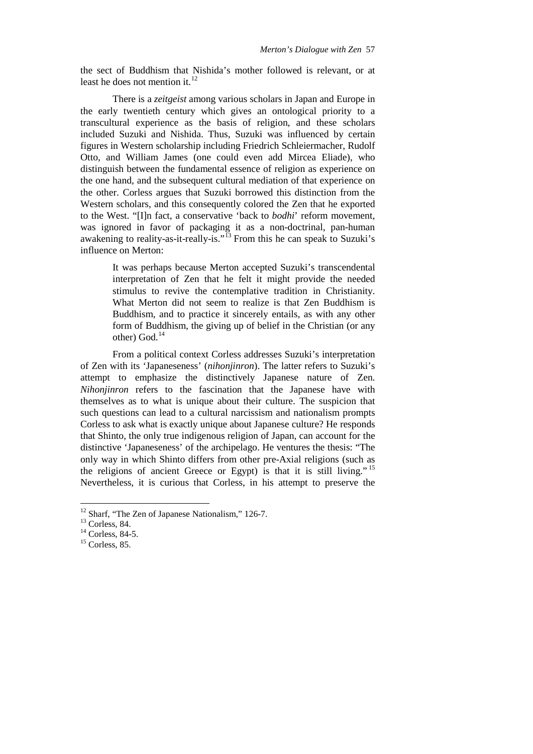the sect of Buddhism that Nishida's mother followed is relevant, or at least he does not mention it.<sup>[12](#page-4-0)</sup>

There is a *zeitgeist* among various scholars in Japan and Europe in the early twentieth century which gives an ontological priority to a transcultural experience as the basis of religion, and these scholars included Suzuki and Nishida. Thus, Suzuki was influenced by certain figures in Western scholarship including Friedrich Schleiermacher, Rudolf Otto, and William James (one could even add Mircea Eliade), who distinguish between the fundamental essence of religion as experience on the one hand, and the subsequent cultural mediation of that experience on the other. Corless argues that Suzuki borrowed this distinction from the Western scholars, and this consequently colored the Zen that he exported to the West. "[I]n fact, a conservative 'back to *bodhi*' reform movement, was ignored in favor of packaging it as a non-doctrinal, pan-human awakening to reality-as-it-really-is."<sup>[13](#page-4-1)</sup> From this he can speak to Suzuki's influence on Merton:

> It was perhaps because Merton accepted Suzuki's transcendental interpretation of Zen that he felt it might provide the needed stimulus to revive the contemplative tradition in Christianity. What Merton did not seem to realize is that Zen Buddhism is Buddhism, and to practice it sincerely entails, as with any other form of Buddhism, the giving up of belief in the Christian (or any other) God. [14](#page-4-2)

From a political context Corless addresses Suzuki's interpretation of Zen with its 'Japaneseness' (*nihonjinron*). The latter refers to Suzuki's attempt to emphasize the distinctively Japanese nature of Zen. *Nihonjinron* refers to the fascination that the Japanese have with themselves as to what is unique about their culture. The suspicion that such questions can lead to a cultural narcissism and nationalism prompts Corless to ask what is exactly unique about Japanese culture? He responds that Shinto, the only true indigenous religion of Japan, can account for the distinctive 'Japaneseness' of the archipelago. He ventures the thesis: "The only way in which Shinto differs from other pre-Axial religions (such as the religions of ancient Greece or Egypt) is that it is still living." [15](#page-4-3) Nevertheless, it is curious that Corless, in his attempt to preserve the

<span id="page-4-0"></span><sup>&</sup>lt;sup>12</sup> Sharf, "The Zen of Japanese Nationalism," 126-7.<br><sup>13</sup> Corless. 84.

<span id="page-4-3"></span><span id="page-4-2"></span><span id="page-4-1"></span> $14$  Corless, 84-5.<br><sup>15</sup> Corless, 85.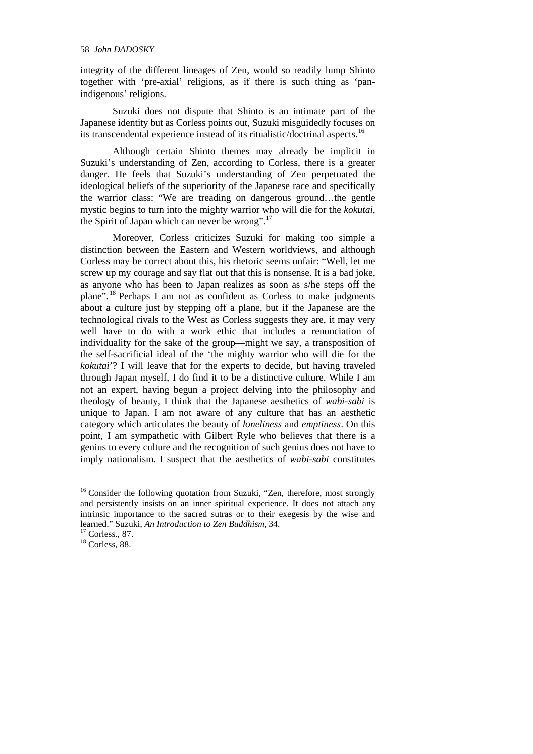integrity of the different lineages of Zen, would so readily lump Shinto together with 'pre-axial' religions, as if there is such thing as 'panindigenous' religions.

Suzuki does not dispute that Shinto is an intimate part of the Japanese identity but as Corless points out, Suzuki misguidedly focuses on its transcendental experience instead of its ritualistic/doctrinal aspects.[16](#page-5-0)

Although certain Shinto themes may already be implicit in Suzuki's understanding of Zen, according to Corless, there is a greater danger. He feels that Suzuki's understanding of Zen perpetuated the ideological beliefs of the superiority of the Japanese race and specifically the warrior class: "We are treading on dangerous ground…the gentle mystic begins to turn into the mighty warrior who will die for the *kokutai*, the Spirit of Japan which can never be wrong".<sup>[17](#page-5-1)</sup>

Moreover, Corless criticizes Suzuki for making too simple a distinction between the Eastern and Western worldviews, and although Corless may be correct about this, his rhetoric seems unfair: "Well, let me screw up my courage and say flat out that this is nonsense. It is a bad joke, as anyone who has been to Japan realizes as soon as s/he steps off the plane".<sup>[18](#page-5-2)</sup> Perhaps I am not as confident as Corless to make judgments about a culture just by stepping off a plane, but if the Japanese are the technological rivals to the West as Corless suggests they are, it may very well have to do with a work ethic that includes a renunciation of individuality for the sake of the group—might we say, a transposition of the self-sacrificial ideal of the 'the mighty warrior who will die for the *kokutai*'? I will leave that for the experts to decide, but having traveled through Japan myself, I do find it to be a distinctive culture. While I am not an expert, having begun a project delving into the philosophy and theology of beauty, I think that the Japanese aesthetics of *wabi-sabi* is unique to Japan. I am not aware of any culture that has an aesthetic category which articulates the beauty of *loneliness* and *emptiness*. On this point, I am sympathetic with Gilbert Ryle who believes that there is a genius to every culture and the recognition of such genius does not have to imply nationalism. I suspect that the aesthetics of *wabi-sabi* constitutes

<span id="page-5-0"></span><sup>&</sup>lt;sup>16</sup> Consider the following quotation from Suzuki, "Zen, therefore, most strongly and persistently insists on an inner spiritual experience. It does not attach any intrinsic importance to the sacred sutras or to their exegesis by the wise and learned." Suzuki, *An Introduction to Zen Buddhism*, 34.

<span id="page-5-1"></span>

<span id="page-5-2"></span> $18$  Corless, 88.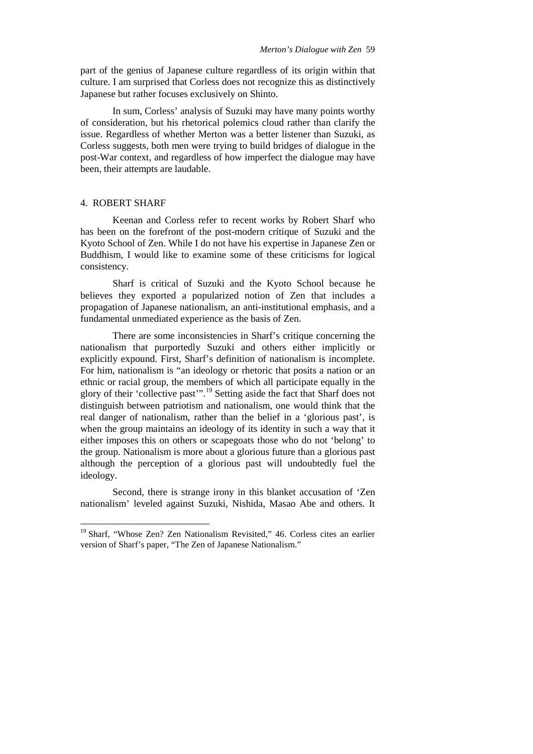part of the genius of Japanese culture regardless of its origin within that culture. I am surprised that Corless does not recognize this as distinctively Japanese but rather focuses exclusively on Shinto.

In sum, Corless' analysis of Suzuki may have many points worthy of consideration, but his rhetorical polemics cloud rather than clarify the issue. Regardless of whether Merton was a better listener than Suzuki, as Corless suggests, both men were trying to build bridges of dialogue in the post-War context, and regardless of how imperfect the dialogue may have been, their attempts are laudable.

### 4. ROBERT SHARF

Keenan and Corless refer to recent works by Robert Sharf who has been on the forefront of the post-modern critique of Suzuki and the Kyoto School of Zen. While I do not have his expertise in Japanese Zen or Buddhism, I would like to examine some of these criticisms for logical consistency.

Sharf is critical of Suzuki and the Kyoto School because he believes they exported a popularized notion of Zen that includes a propagation of Japanese nationalism, an anti-institutional emphasis, and a fundamental unmediated experience as the basis of Zen.

There are some inconsistencies in Sharf's critique concerning the nationalism that purportedly Suzuki and others either implicitly or explicitly expound. First, Sharf's definition of nationalism is incomplete. For him, nationalism is "an ideology or rhetoric that posits a nation or an ethnic or racial group, the members of which all participate equally in the glory of their 'collective past'". [19](#page-6-0) Setting aside the fact that Sharf does not distinguish between patriotism and nationalism, one would think that the real danger of nationalism, rather than the belief in a 'glorious past', is when the group maintains an ideology of its identity in such a way that it either imposes this on others or scapegoats those who do not 'belong' to the group. Nationalism is more about a glorious future than a glorious past although the perception of a glorious past will undoubtedly fuel the ideology.

Second, there is strange irony in this blanket accusation of 'Zen nationalism' leveled against Suzuki, Nishida, Masao Abe and others. It

<span id="page-6-0"></span><sup>&</sup>lt;sup>19</sup> Sharf, "Whose Zen? Zen Nationalism Revisited," 46. Corless cites an earlier version of Sharf's paper, "The Zen of Japanese Nationalism."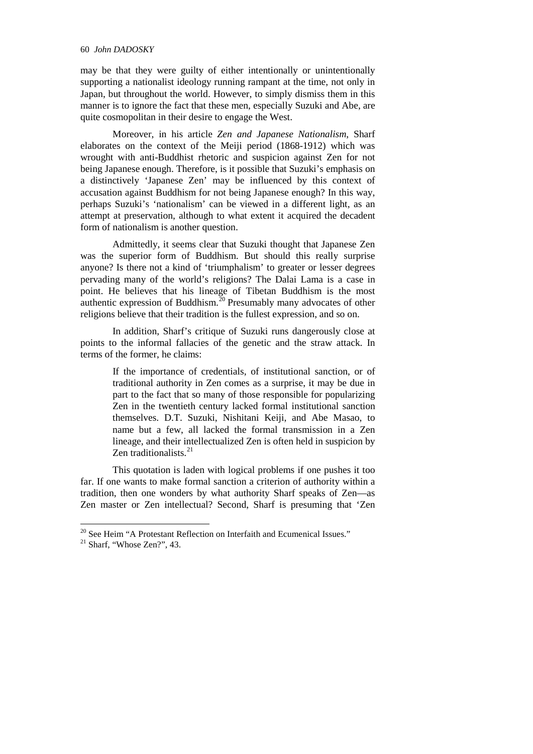#### 60 *John DADOSKY*

may be that they were guilty of either intentionally or unintentionally supporting a nationalist ideology running rampant at the time, not only in Japan, but throughout the world. However, to simply dismiss them in this manner is to ignore the fact that these men, especially Suzuki and Abe, are quite cosmopolitan in their desire to engage the West.

Moreover, in his article *Zen and Japanese Nationalism*, Sharf elaborates on the context of the Meiji period (1868-1912) which was wrought with anti-Buddhist rhetoric and suspicion against Zen for not being Japanese enough. Therefore, is it possible that Suzuki's emphasis on a distinctively 'Japanese Zen' may be influenced by this context of accusation against Buddhism for not being Japanese enough? In this way, perhaps Suzuki's 'nationalism' can be viewed in a different light, as an attempt at preservation, although to what extent it acquired the decadent form of nationalism is another question.

Admittedly, it seems clear that Suzuki thought that Japanese Zen was the superior form of Buddhism. But should this really surprise anyone? Is there not a kind of 'triumphalism' to greater or lesser degrees pervading many of the world's religions? The Dalai Lama is a case in point. He believes that his lineage of Tibetan Buddhism is the most authentic expression of Buddhism. $^{20}$  $^{20}$  $^{20}$  Presumably many advocates of other religions believe that their tradition is the fullest expression, and so on.

In addition, Sharf's critique of Suzuki runs dangerously close at points to the informal fallacies of the genetic and the straw attack. In terms of the former, he claims:

> If the importance of credentials, of institutional sanction, or of traditional authority in Zen comes as a surprise, it may be due in part to the fact that so many of those responsible for popularizing Zen in the twentieth century lacked formal institutional sanction themselves. D.T. Suzuki, Nishitani Keiji, and Abe Masao, to name but a few, all lacked the formal transmission in a Zen lineage, and their intellectualized Zen is often held in suspicion by Zen traditionalists. $21$

This quotation is laden with logical problems if one pushes it too far. If one wants to make formal sanction a criterion of authority within a tradition, then one wonders by what authority Sharf speaks of Zen—as Zen master or Zen intellectual? Second, Sharf is presuming that 'Zen

<span id="page-7-1"></span><span id="page-7-0"></span><sup>&</sup>lt;sup>20</sup> See Heim "A Protestant Reflection on Interfaith and Ecumenical Issues."<br><sup>21</sup> Sharf, "Whose Zen?", 43.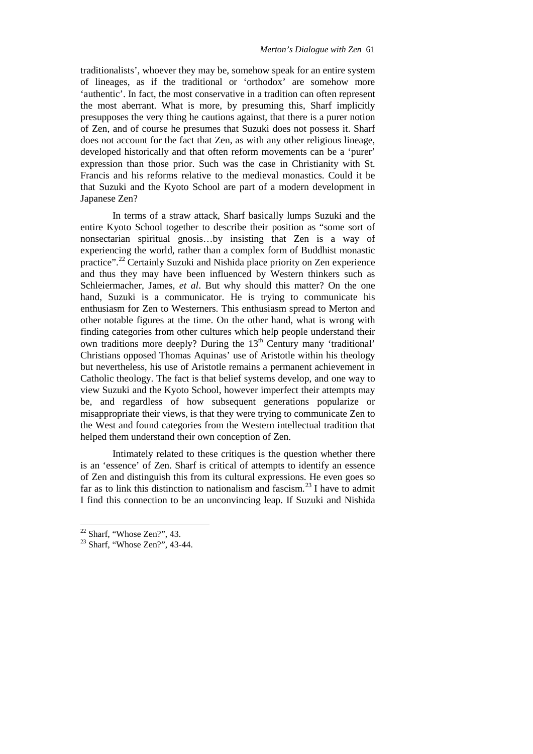traditionalists', whoever they may be, somehow speak for an entire system of lineages, as if the traditional or 'orthodox' are somehow more 'authentic'. In fact, the most conservative in a tradition can often represent the most aberrant. What is more, by presuming this, Sharf implicitly presupposes the very thing he cautions against, that there is a purer notion of Zen, and of course he presumes that Suzuki does not possess it. Sharf does not account for the fact that Zen, as with any other religious lineage, developed historically and that often reform movements can be a 'purer' expression than those prior. Such was the case in Christianity with St. Francis and his reforms relative to the medieval monastics. Could it be that Suzuki and the Kyoto School are part of a modern development in Japanese Zen?

In terms of a straw attack, Sharf basically lumps Suzuki and the entire Kyoto School together to describe their position as "some sort of nonsectarian spiritual gnosis…by insisting that Zen is a way of experiencing the world, rather than a complex form of Buddhist monastic practice".<sup>[22](#page-8-0)</sup> Certainly Suzuki and Nishida place priority on Zen experience and thus they may have been influenced by Western thinkers such as Schleiermacher, James, *et al*. But why should this matter? On the one hand, Suzuki is a communicator. He is trying to communicate his enthusiasm for Zen to Westerners. This enthusiasm spread to Merton and other notable figures at the time. On the other hand, what is wrong with finding categories from other cultures which help people understand their own traditions more deeply? During the  $13<sup>th</sup>$  Century many 'traditional' Christians opposed Thomas Aquinas' use of Aristotle within his theology but nevertheless, his use of Aristotle remains a permanent achievement in Catholic theology. The fact is that belief systems develop, and one way to view Suzuki and the Kyoto School, however imperfect their attempts may be, and regardless of how subsequent generations popularize or misappropriate their views, is that they were trying to communicate Zen to the West and found categories from the Western intellectual tradition that helped them understand their own conception of Zen.

Intimately related to these critiques is the question whether there is an 'essence' of Zen. Sharf is critical of attempts to identify an essence of Zen and distinguish this from its cultural expressions. He even goes so far as to link this distinction to nationalism and fascism.<sup>[23](#page-8-1)</sup> I have to admit I find this connection to be an unconvincing leap. If Suzuki and Nishida

<span id="page-8-0"></span> $22$  Sharf, "Whose Zen?", 43.

<span id="page-8-1"></span><sup>23</sup> Sharf, "Whose Zen?", 43-44.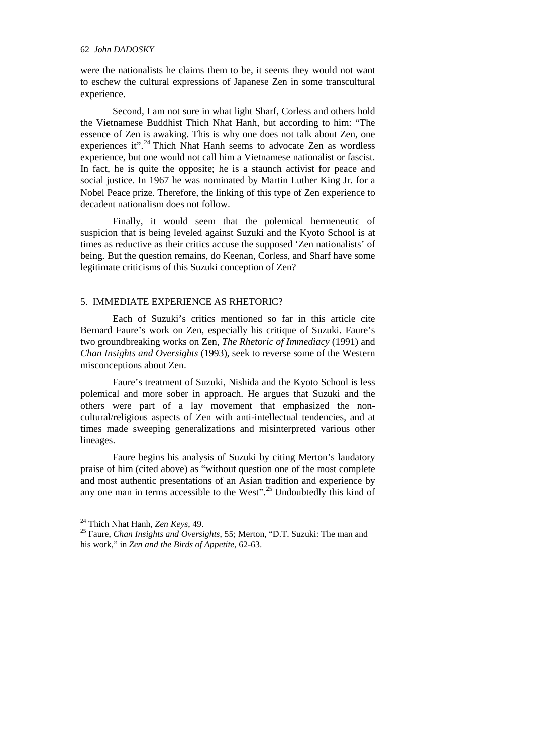were the nationalists he claims them to be, it seems they would not want to eschew the cultural expressions of Japanese Zen in some transcultural experience.

Second, I am not sure in what light Sharf, Corless and others hold the Vietnamese Buddhist Thich Nhat Hanh, but according to him: "The essence of Zen is awaking. This is why one does not talk about Zen, one experiences it".<sup>[24](#page-9-0)</sup> Thich Nhat Hanh seems to advocate Zen as wordless experience, but one would not call him a Vietnamese nationalist or fascist. In fact, he is quite the opposite; he is a staunch activist for peace and social justice. In 1967 he was nominated by Martin Luther King Jr. for a Nobel Peace prize. Therefore, the linking of this type of Zen experience to decadent nationalism does not follow.

Finally, it would seem that the polemical hermeneutic of suspicion that is being leveled against Suzuki and the Kyoto School is at times as reductive as their critics accuse the supposed 'Zen nationalists' of being. But the question remains, do Keenan, Corless, and Sharf have some legitimate criticisms of this Suzuki conception of Zen?

## 5. IMMEDIATE EXPERIENCE AS RHETORIC?

Each of Suzuki's critics mentioned so far in this article cite Bernard Faure's work on Zen, especially his critique of Suzuki. Faure's two groundbreaking works on Zen, *The Rhetoric of Immediacy* (1991) and *Chan Insights and Oversights* (1993), seek to reverse some of the Western misconceptions about Zen.

Faure's treatment of Suzuki, Nishida and the Kyoto School is less polemical and more sober in approach. He argues that Suzuki and the others were part of a lay movement that emphasized the noncultural/religious aspects of Zen with anti-intellectual tendencies, and at times made sweeping generalizations and misinterpreted various other lineages.

Faure begins his analysis of Suzuki by citing Merton's laudatory praise of him (cited above) as "without question one of the most complete and most authentic presentations of an Asian tradition and experience by any one man in terms accessible to the West".<sup>[25](#page-9-1)</sup> Undoubtedly this kind of

<span id="page-9-0"></span> <sup>24</sup> Thich Nhat Hanh, *Zen Keys*, 49.

<span id="page-9-1"></span><sup>25</sup> Faure, *Chan Insights and Oversights*, 55; Merton, "D.T. Suzuki: The man and his work," in *Zen and the Birds of Appetite*, 62-63.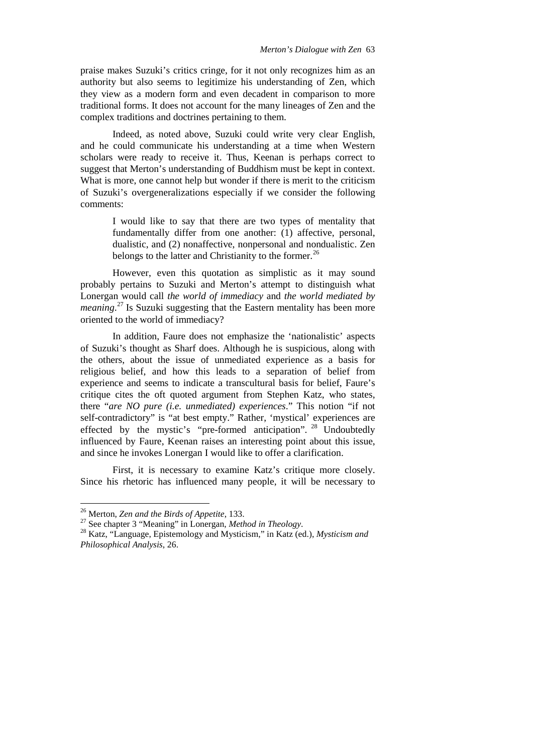praise makes Suzuki's critics cringe, for it not only recognizes him as an authority but also seems to legitimize his understanding of Zen, which they view as a modern form and even decadent in comparison to more traditional forms. It does not account for the many lineages of Zen and the complex traditions and doctrines pertaining to them.

Indeed, as noted above, Suzuki could write very clear English, and he could communicate his understanding at a time when Western scholars were ready to receive it. Thus, Keenan is perhaps correct to suggest that Merton's understanding of Buddhism must be kept in context. What is more, one cannot help but wonder if there is merit to the criticism of Suzuki's overgeneralizations especially if we consider the following comments:

> I would like to say that there are two types of mentality that fundamentally differ from one another: (1) affective, personal, dualistic, and (2) nonaffective, nonpersonal and nondualistic. Zen belongs to the latter and Christianity to the former.<sup>[26](#page-10-0)</sup>

However, even this quotation as simplistic as it may sound probably pertains to Suzuki and Merton's attempt to distinguish what Lonergan would call *the world of immediacy* and *the world mediated by meaning*.<sup>[27](#page-10-1)</sup> Is Suzuki suggesting that the Eastern mentality has been more oriented to the world of immediacy?

In addition, Faure does not emphasize the 'nationalistic' aspects of Suzuki's thought as Sharf does. Although he is suspicious, along with the others, about the issue of unmediated experience as a basis for religious belief, and how this leads to a separation of belief from experience and seems to indicate a transcultural basis for belief, Faure's critique cites the oft quoted argument from Stephen Katz, who states, there "*are NO pure (i.e. unmediated) experiences*." This notion "if not self-contradictory" is "at best empty." Rather, 'mystical' experiences are effected by the mystic's "pre-formed anticipation".<sup>[28](#page-10-2)</sup> Undoubtedly influenced by Faure, Keenan raises an interesting point about this issue, and since he invokes Lonergan I would like to offer a clarification.

First, it is necessary to examine Katz's critique more closely. Since his rhetoric has influenced many people, it will be necessary to

<span id="page-10-2"></span><span id="page-10-1"></span>

<span id="page-10-0"></span><sup>26</sup> Merton, *Zen and the Birds of Appetite*, 133. <sup>27</sup> See chapter 3 "Meaning" in Lonergan, *Method in Theology*. <sup>28</sup> Katz, "Language, Epistemology and Mysticism," in Katz (ed.), *Mysticism and Philosophical Analysis*, 26.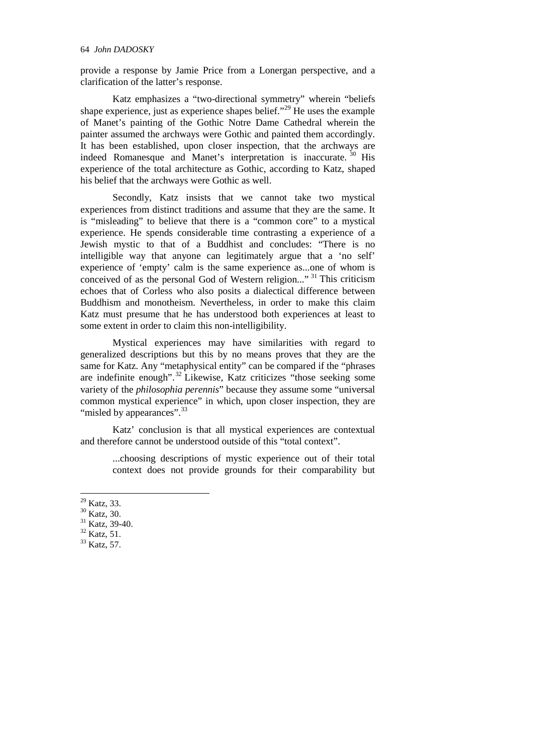provide a response by Jamie Price from a Lonergan perspective, and a clarification of the latter's response.

Katz emphasizes a "two-directional symmetry" wherein "beliefs shape experience, just as experience shapes belief."<sup>[29](#page-11-0)</sup> He uses the example of Manet's painting of the Gothic Notre Dame Cathedral wherein the painter assumed the archways were Gothic and painted them accordingly. It has been established, upon closer inspection, that the archways are indeed Romanesque and Manet's interpretation is inaccurate.<sup>[30](#page-11-1)</sup> His experience of the total architecture as Gothic, according to Katz, shaped his belief that the archways were Gothic as well.

Secondly, Katz insists that we cannot take two mystical experiences from distinct traditions and assume that they are the same. It is "misleading" to believe that there is a "common core" to a mystical experience. He spends considerable time contrasting a experience of a Jewish mystic to that of a Buddhist and concludes: "There is no intelligible way that anyone can legitimately argue that a 'no self' experience of 'empty' calm is the same experience as...one of whom is conceived of as the personal God of Western religion..."<sup>[31](#page-11-2)</sup> This criticism echoes that of Corless who also posits a dialectical difference between Buddhism and monotheism. Nevertheless, in order to make this claim Katz must presume that he has understood both experiences at least to some extent in order to claim this non-intelligibility.

Mystical experiences may have similarities with regard to generalized descriptions but this by no means proves that they are the same for Katz. Any "metaphysical entity" can be compared if the "phrases are indefinite enough".<sup>[32](#page-11-3)</sup> Likewise, Katz criticizes "those seeking some variety of the *philosophia perennis*" because they assume some "universal common mystical experience" in which, upon closer inspection, they are "misled by appearances".<sup>[33](#page-11-4)</sup>

Katz' conclusion is that all mystical experiences are contextual and therefore cannot be understood outside of this "total context".

...choosing descriptions of mystic experience out of their total context does not provide grounds for their comparability but

- <span id="page-11-4"></span><span id="page-11-3"></span>
- 

<span id="page-11-1"></span><span id="page-11-0"></span><sup>&</sup>lt;sup>29</sup> Katz, 33.<br><sup>30</sup> Katz, 30.<br><sup>31</sup> Katz, 39-40.<br><sup>32</sup> Katz, 51.<br><sup>33</sup> Katz, 57.

<span id="page-11-2"></span>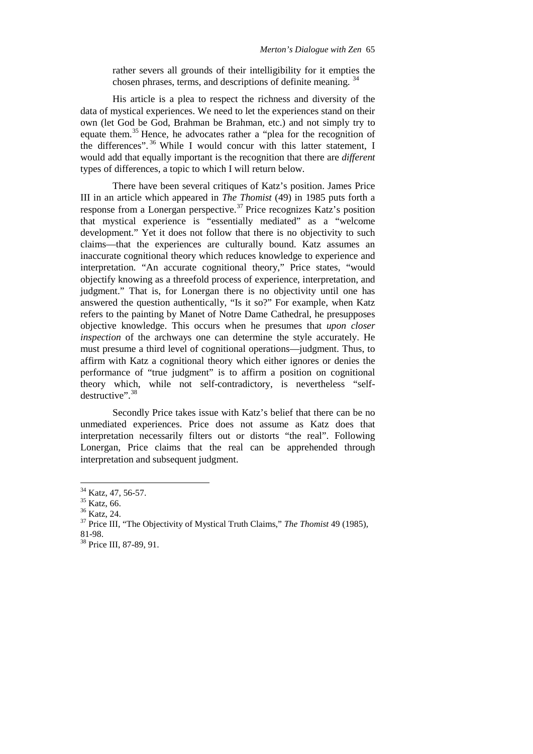rather severs all grounds of their intelligibility for it empties the chosen phrases, terms, and descriptions of definite meaning. [34](#page-12-0)

His article is a plea to respect the richness and diversity of the data of mystical experiences. We need to let the experiences stand on their own (let God be God, Brahman be Brahman, etc.) and not simply try to equate them.[35](#page-12-1) Hence, he advocates rather a "plea for the recognition of the differences".  $36$  While I would concur with this latter statement, I would add that equally important is the recognition that there are *different* types of differences, a topic to which I will return below.

There have been several critiques of Katz's position. James Price III in an article which appeared in *The Thomist* (49) in 1985 puts forth a response from a Lonergan perspective.<sup>[37](#page-12-3)</sup> Price recognizes Katz's position that mystical experience is "essentially mediated" as a "welcome development." Yet it does not follow that there is no objectivity to such claims—that the experiences are culturally bound. Katz assumes an inaccurate cognitional theory which reduces knowledge to experience and interpretation. "An accurate cognitional theory," Price states, "would objectify knowing as a threefold process of experience, interpretation, and judgment." That is, for Lonergan there is no objectivity until one has answered the question authentically, "Is it so?" For example, when Katz refers to the painting by Manet of Notre Dame Cathedral, he presupposes objective knowledge. This occurs when he presumes that *upon closer inspection* of the archways one can determine the style accurately. He must presume a third level of cognitional operations—judgment. Thus, to affirm with Katz a cognitional theory which either ignores or denies the performance of "true judgment" is to affirm a position on cognitional theory which, while not self-contradictory, is nevertheless "selfdestructive". [38](#page-12-4)

Secondly Price takes issue with Katz's belief that there can be no unmediated experiences. Price does not assume as Katz does that interpretation necessarily filters out or distorts "the real". Following Lonergan, Price claims that the real can be apprehended through interpretation and subsequent judgment.

<span id="page-12-3"></span><span id="page-12-2"></span>

<span id="page-12-1"></span><span id="page-12-0"></span><sup>&</sup>lt;sup>34</sup> Katz, 47, 56-57.<br><sup>35</sup> Katz, 66.<br><sup>36</sup> Katz, 24.<br><sup>37</sup> Price III, "The Objectivity of Mystical Truth Claims," *The Thomist* 49 (1985),<br>81-98.

<span id="page-12-4"></span><sup>&</sup>lt;sup>38</sup> Price III, 87-89, 91.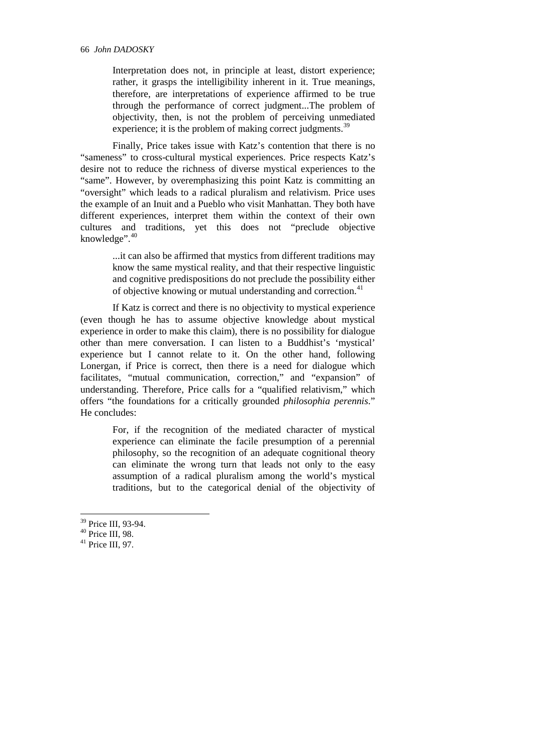Interpretation does not, in principle at least, distort experience; rather, it grasps the intelligibility inherent in it. True meanings, therefore, are interpretations of experience affirmed to be true through the performance of correct judgment...The problem of objectivity, then, is not the problem of perceiving unmediated experience; it is the problem of making correct judgments.<sup>[39](#page-13-0)</sup>

Finally, Price takes issue with Katz's contention that there is no "sameness" to cross-cultural mystical experiences. Price respects Katz's desire not to reduce the richness of diverse mystical experiences to the "same". However, by overemphasizing this point Katz is committing an "oversight" which leads to a radical pluralism and relativism. Price uses the example of an Inuit and a Pueblo who visit Manhattan. They both have different experiences, interpret them within the context of their own cultures and traditions, yet this does not "preclude objective knowledge". [40](#page-13-1)

> ...it can also be affirmed that mystics from different traditions may know the same mystical reality, and that their respective linguistic and cognitive predispositions do not preclude the possibility either of objective knowing or mutual understanding and correction.[41](#page-13-2)

If Katz is correct and there is no objectivity to mystical experience (even though he has to assume objective knowledge about mystical experience in order to make this claim), there is no possibility for dialogue other than mere conversation. I can listen to a Buddhist's 'mystical' experience but I cannot relate to it. On the other hand, following Lonergan, if Price is correct, then there is a need for dialogue which facilitates, "mutual communication, correction," and "expansion" of understanding. Therefore, Price calls for a "qualified relativism," which offers "the foundations for a critically grounded *philosophia perennis*." He concludes:

> For, if the recognition of the mediated character of mystical experience can eliminate the facile presumption of a perennial philosophy, so the recognition of an adequate cognitional theory can eliminate the wrong turn that leads not only to the easy assumption of a radical pluralism among the world's mystical traditions, but to the categorical denial of the objectivity of

- <span id="page-13-2"></span><span id="page-13-1"></span>
- 

<span id="page-13-0"></span><sup>&</sup>lt;sup>39</sup> Price III, 93-94.<br><sup>40</sup> Price III, 98.<br><sup>41</sup> Price III, 97.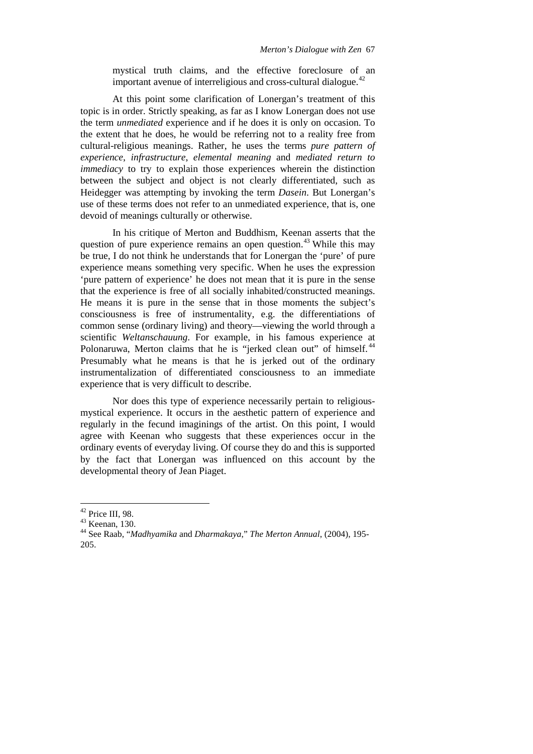mystical truth claims, and the effective foreclosure of an important avenue of interreligious and cross-cultural dialogue.<sup>[42](#page-14-0)</sup>

At this point some clarification of Lonergan's treatment of this topic is in order. Strictly speaking, as far as I know Lonergan does not use the term *unmediated* experience and if he does it is only on occasion. To the extent that he does, he would be referring not to a reality free from cultural-religious meanings. Rather, he uses the terms *pure pattern of experience*, *infrastructure*, *elemental meaning* and *mediated return to immediacy* to try to explain those experiences wherein the distinction between the subject and object is not clearly differentiated, such as Heidegger was attempting by invoking the term *Dasein*. But Lonergan's use of these terms does not refer to an unmediated experience, that is, one devoid of meanings culturally or otherwise.

In his critique of Merton and Buddhism, Keenan asserts that the question of pure experience remains an open question.<sup> $43$ </sup> While this may be true, I do not think he understands that for Lonergan the 'pure' of pure experience means something very specific. When he uses the expression 'pure pattern of experience' he does not mean that it is pure in the sense that the experience is free of all socially inhabited/constructed meanings. He means it is pure in the sense that in those moments the subject's consciousness is free of instrumentality, e.g. the differentiations of common sense (ordinary living) and theory—viewing the world through a scientific *Weltanschauung*. For example, in his famous experience at Polonaruwa, Merton claims that he is "jerked clean out" of himself.<sup>[44](#page-14-2)</sup> Presumably what he means is that he is jerked out of the ordinary instrumentalization of differentiated consciousness to an immediate experience that is very difficult to describe.

Nor does this type of experience necessarily pertain to religiousmystical experience. It occurs in the aesthetic pattern of experience and regularly in the fecund imaginings of the artist. On this point, I would agree with Keenan who suggests that these experiences occur in the ordinary events of everyday living. Of course they do and this is supported by the fact that Lonergan was influenced on this account by the developmental theory of Jean Piaget.

<span id="page-14-2"></span><span id="page-14-1"></span>

<span id="page-14-0"></span><sup>42</sup> Price III, 98. <sup>43</sup> Keenan, 130. <sup>44</sup> See Raab, "*Madhyamika* and *Dharmakaya*," *The Merton Annual*, (2004), 195- 205.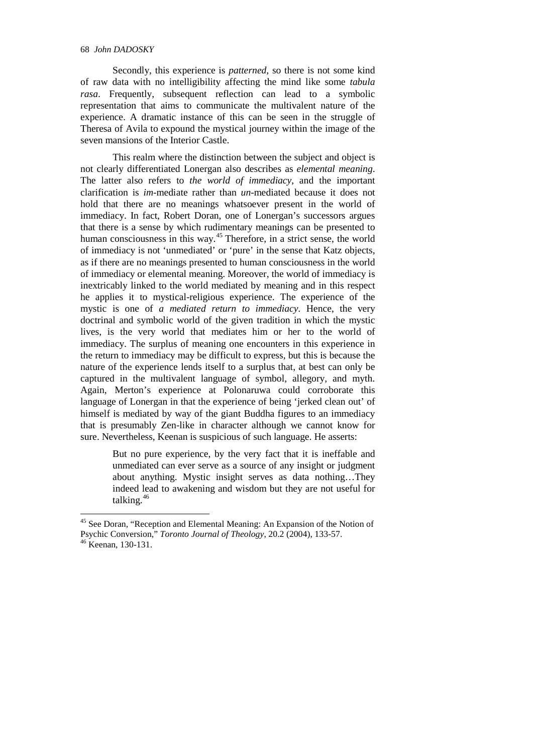Secondly, this experience is *patterned*, so there is not some kind of raw data with no intelligibility affecting the mind like some *tabula rasa*. Frequently, subsequent reflection can lead to a symbolic representation that aims to communicate the multivalent nature of the experience. A dramatic instance of this can be seen in the struggle of Theresa of Avila to expound the mystical journey within the image of the seven mansions of the Interior Castle.

This realm where the distinction between the subject and object is not clearly differentiated Lonergan also describes as *elemental meaning*. The latter also refers to *the world of immediacy*, and the important clarification is *im*-mediate rather than *un*-mediated because it does not hold that there are no meanings whatsoever present in the world of immediacy. In fact, Robert Doran, one of Lonergan's successors argues that there is a sense by which rudimentary meanings can be presented to human consciousness in this way.<sup>[45](#page-15-0)</sup> Therefore, in a strict sense, the world of immediacy is not 'unmediated' or 'pure' in the sense that Katz objects, as if there are no meanings presented to human consciousness in the world of immediacy or elemental meaning. Moreover, the world of immediacy is inextricably linked to the world mediated by meaning and in this respect he applies it to mystical-religious experience. The experience of the mystic is one of *a mediated return to immediacy*. Hence, the very doctrinal and symbolic world of the given tradition in which the mystic lives, is the very world that mediates him or her to the world of immediacy. The surplus of meaning one encounters in this experience in the return to immediacy may be difficult to express, but this is because the nature of the experience lends itself to a surplus that, at best can only be captured in the multivalent language of symbol, allegory, and myth. Again, Merton's experience at Polonaruwa could corroborate this language of Lonergan in that the experience of being 'jerked clean out' of himself is mediated by way of the giant Buddha figures to an immediacy that is presumably Zen-like in character although we cannot know for sure. Nevertheless, Keenan is suspicious of such language. He asserts:

> But no pure experience, by the very fact that it is ineffable and unmediated can ever serve as a source of any insight or judgment about anything. Mystic insight serves as data nothing…They indeed lead to awakening and wisdom but they are not useful for talking.<sup>[46](#page-15-1)</sup>

<span id="page-15-0"></span><sup>&</sup>lt;sup>45</sup> See Doran, "Reception and Elemental Meaning: An Expansion of the Notion of Psychic Conversion," *Toronto Journal of Theology*, 20.2 (2004), 133-57.<br><sup>46</sup> Keenan, 130-131.

<span id="page-15-1"></span>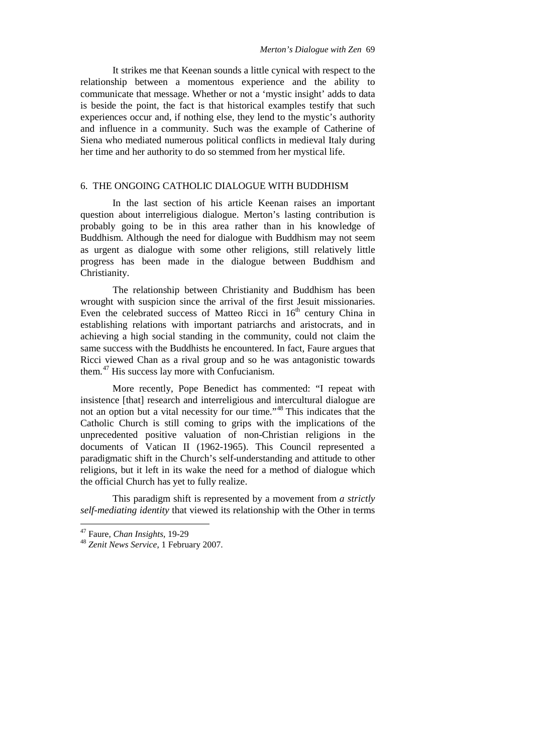It strikes me that Keenan sounds a little cynical with respect to the relationship between a momentous experience and the ability to communicate that message. Whether or not a 'mystic insight' adds to data is beside the point, the fact is that historical examples testify that such experiences occur and, if nothing else, they lend to the mystic's authority and influence in a community. Such was the example of Catherine of Siena who mediated numerous political conflicts in medieval Italy during her time and her authority to do so stemmed from her mystical life.

## 6. THE ONGOING CATHOLIC DIALOGUE WITH BUDDHISM

In the last section of his article Keenan raises an important question about interreligious dialogue. Merton's lasting contribution is probably going to be in this area rather than in his knowledge of Buddhism. Although the need for dialogue with Buddhism may not seem as urgent as dialogue with some other religions, still relatively little progress has been made in the dialogue between Buddhism and Christianity.

The relationship between Christianity and Buddhism has been wrought with suspicion since the arrival of the first Jesuit missionaries. Even the celebrated success of Matteo Ricci in  $16<sup>th</sup>$  century China in establishing relations with important patriarchs and aristocrats, and in achieving a high social standing in the community, could not claim the same success with the Buddhists he encountered. In fact, Faure argues that Ricci viewed Chan as a rival group and so he was antagonistic towards them.[47](#page-16-0) His success lay more with Confucianism.

More recently, Pope Benedict has commented: "I repeat with insistence [that] research and interreligious and intercultural dialogue are not an option but a vital necessity for our time."<sup>[48](#page-16-1)</sup> This indicates that the Catholic Church is still coming to grips with the implications of the unprecedented positive valuation of non-Christian religions in the documents of Vatican II (1962-1965). This Council represented a paradigmatic shift in the Church's self-understanding and attitude to other religions, but it left in its wake the need for a method of dialogue which the official Church has yet to fully realize.

This paradigm shift is represented by a movement from *a strictly self-mediating identity* that viewed its relationship with the Other in terms

<span id="page-16-1"></span><span id="page-16-0"></span><sup>47</sup> Faure, *Chan Insights*, 19-29 <sup>48</sup> *Zenit News Service*, 1 February 2007.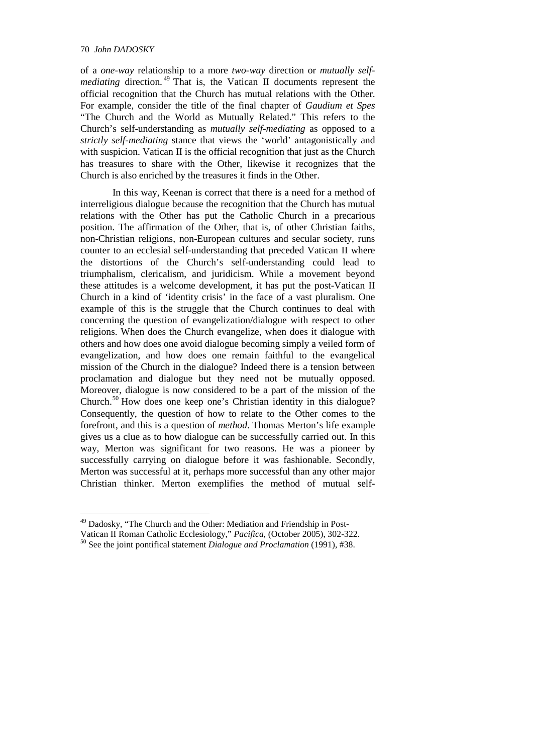### 70 *John DADOSKY*

of a *one-way* relationship to a more *two-way* direction or *mutually selfmediating* direction.<sup>[49](#page-17-0)</sup> That is, the Vatican II documents represent the official recognition that the Church has mutual relations with the Other. For example, consider the title of the final chapter of *Gaudium et Spes* "The Church and the World as Mutually Related." This refers to the Church's self-understanding as *mutually self-mediating* as opposed to a *strictly self-mediating* stance that views the 'world' antagonistically and with suspicion. Vatican II is the official recognition that just as the Church has treasures to share with the Other, likewise it recognizes that the Church is also enriched by the treasures it finds in the Other.

In this way, Keenan is correct that there is a need for a method of interreligious dialogue because the recognition that the Church has mutual relations with the Other has put the Catholic Church in a precarious position. The affirmation of the Other, that is, of other Christian faiths, non-Christian religions, non-European cultures and secular society, runs counter to an ecclesial self-understanding that preceded Vatican II where the distortions of the Church's self-understanding could lead to triumphalism, clericalism, and juridicism. While a movement beyond these attitudes is a welcome development, it has put the post-Vatican II Church in a kind of 'identity crisis' in the face of a vast pluralism. One example of this is the struggle that the Church continues to deal with concerning the question of evangelization/dialogue with respect to other religions. When does the Church evangelize, when does it dialogue with others and how does one avoid dialogue becoming simply a veiled form of evangelization, and how does one remain faithful to the evangelical mission of the Church in the dialogue? Indeed there is a tension between proclamation and dialogue but they need not be mutually opposed. Moreover, dialogue is now considered to be a part of the mission of the Church.<sup>[50](#page-17-1)</sup> How does one keep one's Christian identity in this dialogue? Consequently, the question of how to relate to the Other comes to the forefront, and this is a question of *method*. Thomas Merton's life example gives us a clue as to how dialogue can be successfully carried out. In this way, Merton was significant for two reasons. He was a pioneer by successfully carrying on dialogue before it was fashionable. Secondly, Merton was successful at it, perhaps more successful than any other major Christian thinker. Merton exemplifies the method of mutual self-

<span id="page-17-0"></span><sup>&</sup>lt;sup>49</sup> Dadosky, "The Church and the Other: Mediation and Friendship in Post-

Vatican II Roman Catholic Ecclesiology," *Pacifica*, (October 2005), 302-322.

<span id="page-17-1"></span><sup>50</sup> See the joint pontifical statement *Dialogue and Proclamation* (1991), #38.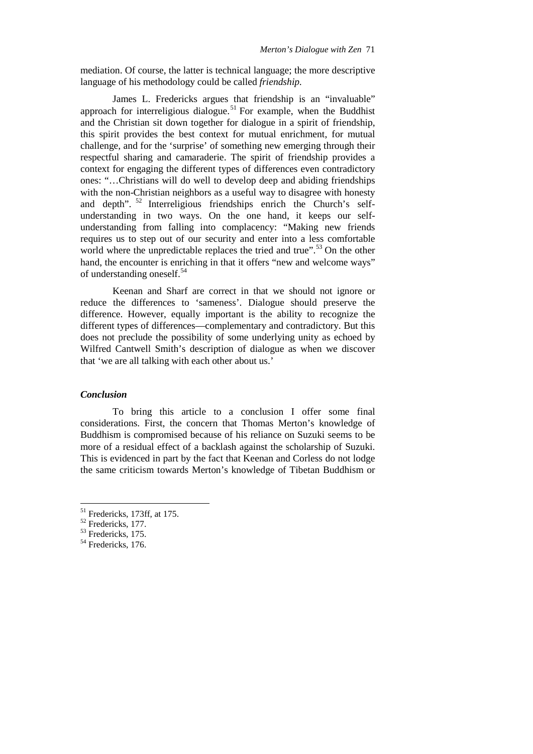mediation. Of course, the latter is technical language; the more descriptive language of his methodology could be called *friendship*.

James L. Fredericks argues that friendship is an "invaluable" approach for interreligious dialogue.<sup>[51](#page-18-0)</sup> For example, when the Buddhist and the Christian sit down together for dialogue in a spirit of friendship, this spirit provides the best context for mutual enrichment, for mutual challenge, and for the 'surprise' of something new emerging through their respectful sharing and camaraderie. The spirit of friendship provides a context for engaging the different types of differences even contradictory ones: "…Christians will do well to develop deep and abiding friendships with the non-Christian neighbors as a useful way to disagree with honesty and depth". [52](#page-18-1) Interreligious friendships enrich the Church's selfunderstanding in two ways. On the one hand, it keeps our selfunderstanding from falling into complacency: "Making new friends requires us to step out of our security and enter into a less comfortable world where the unpredictable replaces the tried and true".<sup>[53](#page-18-2)</sup> On the other hand, the encounter is enriching in that it offers "new and welcome ways" of understanding oneself.<sup>[54](#page-18-3)</sup>

Keenan and Sharf are correct in that we should not ignore or reduce the differences to 'sameness'. Dialogue should preserve the difference. However, equally important is the ability to recognize the different types of differences—complementary and contradictory. But this does not preclude the possibility of some underlying unity as echoed by Wilfred Cantwell Smith's description of dialogue as when we discover that 'we are all talking with each other about us.'

### *Conclusion*

To bring this article to a conclusion I offer some final considerations. First, the concern that Thomas Merton's knowledge of Buddhism is compromised because of his reliance on Suzuki seems to be more of a residual effect of a backlash against the scholarship of Suzuki. This is evidenced in part by the fact that Keenan and Corless do not lodge the same criticism towards Merton's knowledge of Tibetan Buddhism or

<span id="page-18-0"></span><sup>&</sup>lt;sup>51</sup> Fredericks, 173ff, at 175.<br><sup>52</sup> Fredericks, 177.<br><sup>53</sup> Fredericks, 175.<br><sup>54</sup> Fredericks, 176.

<span id="page-18-1"></span>

<span id="page-18-2"></span>

<span id="page-18-3"></span>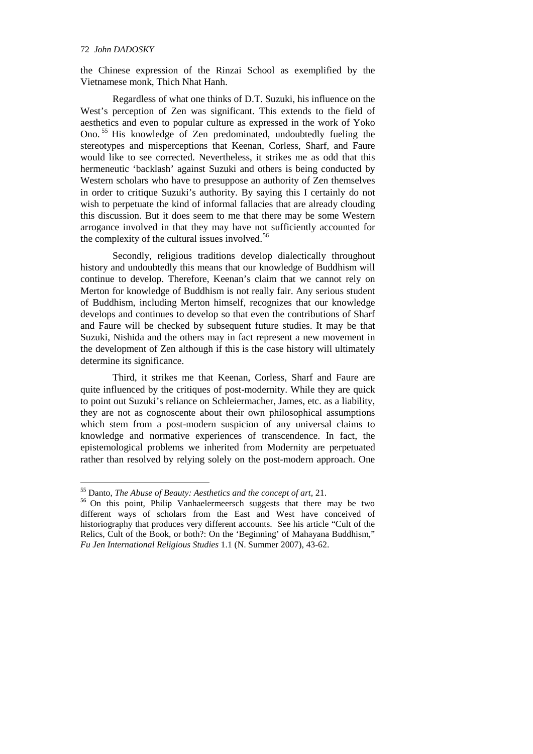#### 72 *John DADOSKY*

the Chinese expression of the Rinzai School as exemplified by the Vietnamese monk, Thich Nhat Hanh.

Regardless of what one thinks of D.T. Suzuki, his influence on the West's perception of Zen was significant. This extends to the field of aesthetics and even to popular culture as expressed in the work of Yoko Ono. [55](#page-19-0) His knowledge of Zen predominated, undoubtedly fueling the stereotypes and misperceptions that Keenan, Corless, Sharf, and Faure would like to see corrected. Nevertheless, it strikes me as odd that this hermeneutic 'backlash' against Suzuki and others is being conducted by Western scholars who have to presuppose an authority of Zen themselves in order to critique Suzuki's authority. By saying this I certainly do not wish to perpetuate the kind of informal fallacies that are already clouding this discussion. But it does seem to me that there may be some Western arrogance involved in that they may have not sufficiently accounted for the complexity of the cultural issues involved.<sup>[56](#page-19-1)</sup>

Secondly, religious traditions develop dialectically throughout history and undoubtedly this means that our knowledge of Buddhism will continue to develop. Therefore, Keenan's claim that we cannot rely on Merton for knowledge of Buddhism is not really fair. Any serious student of Buddhism, including Merton himself, recognizes that our knowledge develops and continues to develop so that even the contributions of Sharf and Faure will be checked by subsequent future studies. It may be that Suzuki, Nishida and the others may in fact represent a new movement in the development of Zen although if this is the case history will ultimately determine its significance.

Third, it strikes me that Keenan, Corless, Sharf and Faure are quite influenced by the critiques of post-modernity. While they are quick to point out Suzuki's reliance on Schleiermacher, James, etc. as a liability, they are not as cognoscente about their own philosophical assumptions which stem from a post-modern suspicion of any universal claims to knowledge and normative experiences of transcendence. In fact, the epistemological problems we inherited from Modernity are perpetuated rather than resolved by relying solely on the post-modern approach. One

<span id="page-19-1"></span><span id="page-19-0"></span><sup>&</sup>lt;sup>55</sup> Danto, *The Abuse of Beauty: Aesthetics and the concept of art*, 21.<br><sup>56</sup> On this point, Philip Vanhaelermeersch suggests that there may be two different ways of scholars from the East and West have conceived of historiography that produces very different accounts. See his article "Cult of the Relics, Cult of the Book, or both?: On the 'Beginning' of Mahayana Buddhism," *Fu Jen International Religious Studies* 1.1 (N. Summer 2007), 43-62.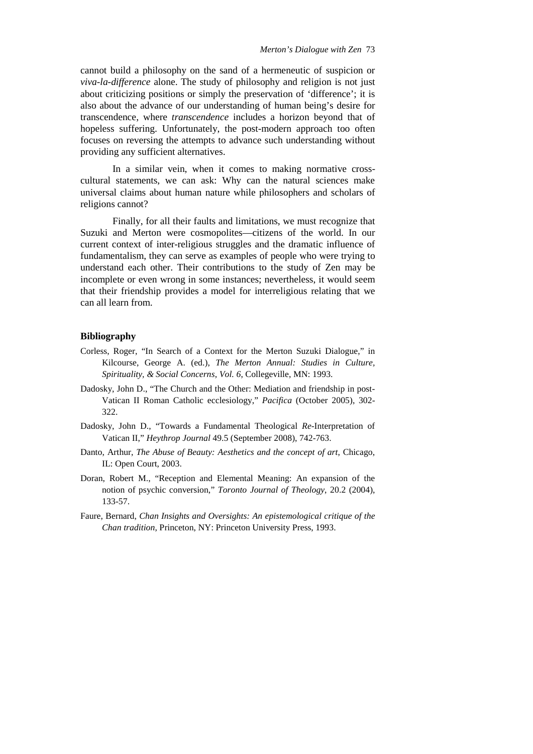cannot build a philosophy on the sand of a hermeneutic of suspicion or *viva-la-difference* alone. The study of philosophy and religion is not just about criticizing positions or simply the preservation of 'difference'; it is also about the advance of our understanding of human being's desire for transcendence, where *transcendence* includes a horizon beyond that of hopeless suffering. Unfortunately, the post-modern approach too often focuses on reversing the attempts to advance such understanding without providing any sufficient alternatives.

In a similar vein, when it comes to making normative crosscultural statements, we can ask: Why can the natural sciences make universal claims about human nature while philosophers and scholars of religions cannot?

Finally, for all their faults and limitations, we must recognize that Suzuki and Merton were cosmopolites—citizens of the world. In our current context of inter-religious struggles and the dramatic influence of fundamentalism, they can serve as examples of people who were trying to understand each other. Their contributions to the study of Zen may be incomplete or even wrong in some instances; nevertheless, it would seem that their friendship provides a model for interreligious relating that we can all learn from.

### **Bibliography**

- Corless, Roger, "In Search of a Context for the Merton Suzuki Dialogue," in Kilcourse, George A. (ed.), *The Merton Annual: Studies in Culture, Spirituality, & Social Concerns*, *Vol. 6*, Collegeville, MN: 1993.
- Dadosky, John D., "The Church and the Other: Mediation and friendship in post-Vatican II Roman Catholic ecclesiology," *Pacifica* (October 2005), 302- 322.
- Dadosky, John D., "Towards a Fundamental Theological *Re*-Interpretation of Vatican II," *Heythrop Journal* 49.5 (September 2008), 742-763.
- Danto, Arthur, *The Abuse of Beauty: Aesthetics and the concept of art*, Chicago, IL: Open Court, 2003.
- Doran, Robert M., "Reception and Elemental Meaning: An expansion of the notion of psychic conversion," *Toronto Journal of Theology*, 20.2 (2004), 133-57.
- Faure, Bernard, *Chan Insights and Oversights: An epistemological critique of the Chan tradition*, Princeton, NY: Princeton University Press, 1993.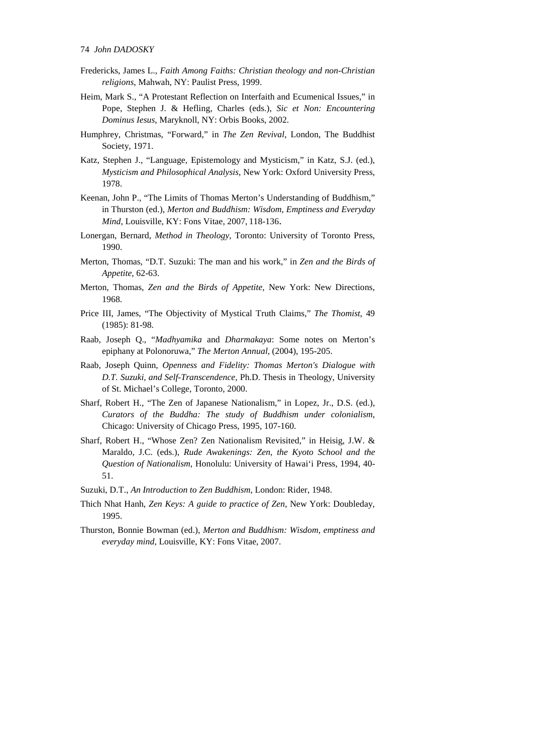- Fredericks, James L., *Faith Among Faiths: Christian theology and non-Christian religions*, Mahwah, NY: Paulist Press, 1999.
- Heim, Mark S., "A Protestant Reflection on Interfaith and Ecumenical Issues," in Pope, Stephen J. & Hefling, Charles (eds.), *Sic et Non: Encountering Dominus Iesus*, Maryknoll, NY: Orbis Books, 2002.
- Humphrey, Christmas, "Forward," in *The Zen Revival*, London, The Buddhist Society, 1971.
- Katz, Stephen J., "Language, Epistemology and Mysticism," in Katz, S.J. (ed.), *Mysticism and Philosophical Analysis*, New York: Oxford University Press, 1978.
- Keenan, John P., "The Limits of Thomas Merton's Understanding of Buddhism," in Thurston (ed.), *Merton and Buddhism: Wisdom, Emptiness and Everyday Mind*, Louisville, KY: Fons Vitae, 2007, 118-136.
- Lonergan, Bernard, *Method in Theology*, Toronto: University of Toronto Press, 1990.
- Merton, Thomas, "D.T. Suzuki: The man and his work," in *Zen and the Birds of Appetite*, 62-63.
- Merton, Thomas, *Zen and the Birds of Appetite*, New York: New Directions, 1968.
- Price III, James, "The Objectivity of Mystical Truth Claims," *The Thomist*, 49 (1985): 81-98.
- Raab, Joseph Q., "*Madhyamika* and *Dharmakaya*: Some notes on Merton's epiphany at Polonoruwa," *The Merton Annual*, (2004), 195-205.
- Raab, Joseph Quinn, *Openness and Fidelity: Thomas Merton's Dialogue with D.T. Suzuki, and Self-Transcendence*, Ph.D. Thesis in Theology, University of St. Michael's College, Toronto, 2000.
- Sharf, Robert H., "The Zen of Japanese Nationalism," in Lopez, Jr., D.S. (ed.), *Curators of the Buddha: The study of Buddhism under colonialism*, Chicago: University of Chicago Press, 1995, 107-160.
- Sharf, Robert H., "Whose Zen? Zen Nationalism Revisited," in Heisig, J.W. & Maraldo, J.C. (eds.), *Rude Awakenings: Zen, the Kyoto School and the Question of Nationalism*, Honolulu: University of Hawai'i Press, 1994, 40- 51.
- Suzuki, D.T., *An Introduction to Zen Buddhism*, London: Rider, 1948.
- Thich Nhat Hanh, *Zen Keys: A guide to practice of Zen*, New York: Doubleday, 1995.
- Thurston, Bonnie Bowman (ed.), *Merton and Buddhism: Wisdom, emptiness and everyday mind*, Louisville, KY: Fons Vitae, 2007.